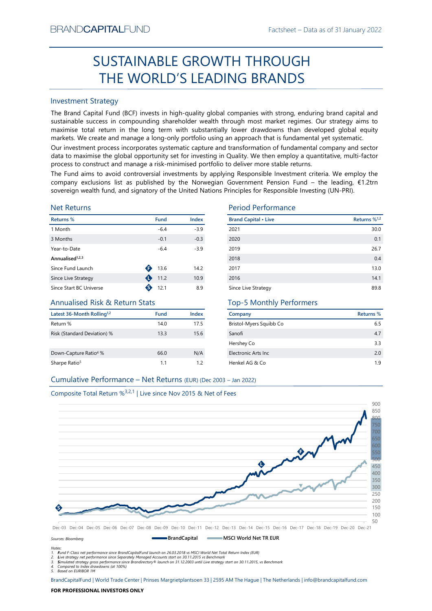# Factsheet – Data as of 31 January 2022 SUSTAINABLE GROWTH THROUGH THE WORLD'S LEADING BRANDS

# Investment Strategy

From NDCAFTIALITUND<br>
Factstheet - Last as of 31 January 2022<br>
SUSTAINABLE GROWTH THROUGH<br>
THE WORLD'S LEADING BRANDS<br>
Investment Strategy<br>
The Brand Capital Fund II (BCF) invests in high-quality global companies with stro **SUSTAINABLE GROWTH THROUGH**<br> **THE WORLD'S LEADING BRANDS**<br>
Investment Strategy<br>
IThe Brand Gapital Fund (8CF) invests in high-quality global comparies with strong, enduring brand capital and<br>
sustainable success in compo BRAND**CAPITAL**FUND<br>
SUSTAINABLE GROWTH THROUGH<br>
THE WORLD'S LEADING BRANDS<br>
Investment Strategy<br>
The Brand Capital Fund (BCF) invests in high-quality global companies with strong, enduring brand capital and<br>
sustainable su BRAND**CAPITAL**FUND<br>
Factsheet – Data as of 31 January 2022<br> **SUSTAINABLE GROWTH THROUGH**<br> **THE WORLD'S LEADING BRANDS**<br>
Investment Strategy<br>
The Brand Capital Fund (BCF) invests in high-quality global companies with strong EXANDCAPITALFUND<br>
Factsheet – Data as of 31 January 2022<br>
SUSTAINABLE GROWTH THROUGH<br>
THE WORLD'S LEADING BRANDS<br>
Investment Strategy<br>
The Brand Capital Fund (BCF) invests in high-quality global companies with strong, endu BRAND**CAPITAL**FUND<br>
SUSTAINABLE GROWTH THROUGH<br>
THE WORLD'S LEADING BRANDS<br>
Investment Strategy<br>
Investment Strategy<br>
Investment Strategy<br>
Investment Strategy<br>
Investment Strategy<br>
The Brand Capital Fund (BCF) invests in h BRAND**CAPITAL**FUND<br>
Factsheet – Data as of 31 January 2022<br>
SUSTAINABLE GROWTH THROUGH<br>
THE WORLD'S LEADING BRANDS<br>
Investment Strategy<br>
Investment Strategy<br>
Investment Strategy<br>
Investment Strategy<br>
starting (BCF) invests BRAND**CAPITAL**FUND<br>
SUSTAINABLE GROWTH THROUGH<br>
THE WORLD'S LEADING BRANDS<br>
Investment Strategy<br>
The Brand Capital Fund (BCF) invests in high-quality global companies with strong, enduring brand capital and<br>
Justainable su BRANDCAPITALFUND<br>
SUSTAINABLE GROWTH THROUGH<br>
THE WORLD'S LEADING BRANDS<br>
Investment Strategy<br>
The Brand Capital Fund (BCF) invests in high-quality global companies with strong, enduring brand capital and<br>
sustainable succ BRANDCAPITALFUND<br>
SUSTAINABLE GROWTH THROUGH<br>
THE WORLD'S LEADING BRANDS<br>
Investment Strategy<br>
Investment Strategy<br>
Investment Strategy<br>
Investment Strategy<br>
Sustainable success in compounding shareholder wealth through mo EXANDCAPITALFUND Factsheet – Data as of 31 January 2022<br>
SUSTAINABLE GROWTH THROUGH<br>
THE WORLD'S LEADING BRANDS<br>
Investment Strategy<br>
The Brand Capital Fund (BCF) invests in high-quality global companies with strong, endu  $\begin{tabular}{c|c|c|c} \multicolumn{1}{c}{\textbf{BRANDCAPITALFUND}} & \multicolumn{1}{c}{\textbf{F313NU3T/2022}} \\ \cline{2-2014cm}{\textbf{SUSTAINABLE GROWN}} & \multicolumn{1}{c}{\textbf{S}} & \multicolumn{1}{c}{\textbf{SRANDS}} \\ \cline{2-2014cm}{\textbf{IHE WORLD'S LEADING BRANDS}} & \multicolumn{1}{c}{\textbf{IHROUGH}} & \multicolumn{1}{c}{\textbf{IHE WORLD'S LEADING BRANDS}} \\ \cline{2-2014cm}{\textbf{INE Band$ 

## Net Returns

| <b>Investment Strategy</b>                |           |        |                                                                                                                                                                                                                                                                                                                                                                                                                                                                                                                                                                                                                                                                                                                                                                                   |                          |
|-------------------------------------------|-----------|--------|-----------------------------------------------------------------------------------------------------------------------------------------------------------------------------------------------------------------------------------------------------------------------------------------------------------------------------------------------------------------------------------------------------------------------------------------------------------------------------------------------------------------------------------------------------------------------------------------------------------------------------------------------------------------------------------------------------------------------------------------------------------------------------------|--------------------------|
|                                           |           |        | The Brand Capital Fund (BCF) invests in high-quality global companies with strong, enduring brand capital and<br>sustainable success in compounding shareholder wealth through most market regimes. Our strategy aims to<br>maximise total return in the long term with substantially lower drawdowns than developed global equity<br>markets. We create and manage a long-only portfolio using an approach that is fundamental yet systematic.<br>Our investment process incorporates systematic capture and transformation of fundamental company and sector<br>data to maximise the global opportunity set for investing in Quality. We then employ a quantitative, multi-factor<br>process to construct and manage a risk-minimised portfolio to deliver more stable returns. |                          |
|                                           |           |        | The Fund aims to avoid controversial investments by applying Responsible Investment criteria. We employ the<br>company exclusions list as published by the Norwegian Government Pension Fund - the leading, €1.2trn<br>sovereign wealth fund, and signatory of the United Nations Principles for Responsible Investing (UN-PRI).                                                                                                                                                                                                                                                                                                                                                                                                                                                  |                          |
| <b>Net Returns</b>                        |           |        | <b>Period Performance</b>                                                                                                                                                                                                                                                                                                                                                                                                                                                                                                                                                                                                                                                                                                                                                         |                          |
| Returns %                                 | Fund      | Index  | <b>Brand Capital • Live</b>                                                                                                                                                                                                                                                                                                                                                                                                                                                                                                                                                                                                                                                                                                                                                       | Returns % <sup>1,2</sup> |
| 1 Month                                   | $-6.4$    | $-3.9$ | 2021                                                                                                                                                                                                                                                                                                                                                                                                                                                                                                                                                                                                                                                                                                                                                                              | 30.0                     |
| 3 Months                                  | $-0.1$    | $-0.3$ | 2020                                                                                                                                                                                                                                                                                                                                                                                                                                                                                                                                                                                                                                                                                                                                                                              | 0.1                      |
| Year-to-Date                              | $-6.4$    | $-3.9$ | 2019                                                                                                                                                                                                                                                                                                                                                                                                                                                                                                                                                                                                                                                                                                                                                                              | 26.7                     |
| Annualised <sup>1,2,3</sup>               |           |        | 2018                                                                                                                                                                                                                                                                                                                                                                                                                                                                                                                                                                                                                                                                                                                                                                              | 0.4                      |
| Since Fund Launch                         | 13.6      | 14.2   | 2017                                                                                                                                                                                                                                                                                                                                                                                                                                                                                                                                                                                                                                                                                                                                                                              | 13.0                     |
| Since Live Strategy                       | 11.2      | 10.9   | 2016                                                                                                                                                                                                                                                                                                                                                                                                                                                                                                                                                                                                                                                                                                                                                                              | 14.1                     |
| Since Start BC Universe                   | ❸<br>12.1 | 8.9    | Since Live Strategy                                                                                                                                                                                                                                                                                                                                                                                                                                                                                                                                                                                                                                                                                                                                                               | 89.8                     |
| <b>Annualised Risk &amp; Return Stats</b> |           |        | <b>Top-5 Monthly Performers</b>                                                                                                                                                                                                                                                                                                                                                                                                                                                                                                                                                                                                                                                                                                                                                   |                          |
|                                           | Fund      | Index  | Company                                                                                                                                                                                                                                                                                                                                                                                                                                                                                                                                                                                                                                                                                                                                                                           | Returns %                |
| Latest 36-Month Rolling <sup>1,2</sup>    |           | 17.5   | Bristol-Myers Squibb Co                                                                                                                                                                                                                                                                                                                                                                                                                                                                                                                                                                                                                                                                                                                                                           | 6.5                      |
| Return %                                  | 14.0      |        |                                                                                                                                                                                                                                                                                                                                                                                                                                                                                                                                                                                                                                                                                                                                                                                   | 4.7                      |
| Risk (Standard Deviation) %               | 13.3      | 15.6   | Sanofi                                                                                                                                                                                                                                                                                                                                                                                                                                                                                                                                                                                                                                                                                                                                                                            |                          |
|                                           |           |        | Hershey Co                                                                                                                                                                                                                                                                                                                                                                                                                                                                                                                                                                                                                                                                                                                                                                        | 3.3                      |
| Down-Capture Ratio <sup>4</sup> %         | 66.0      | N/A    | Electronic Arts Inc                                                                                                                                                                                                                                                                                                                                                                                                                                                                                                                                                                                                                                                                                                                                                               | 2.0                      |
| Sharpe Ratio <sup>5</sup>                 | 1.1       | 1.2    | Henkel AG & Co                                                                                                                                                                                                                                                                                                                                                                                                                                                                                                                                                                                                                                                                                                                                                                    | 1.9                      |

# Annualised Risk & Return Stats

| Latest 36-Month Rolling <sup>1,2</sup> | Fund | Index |
|----------------------------------------|------|-------|
| Return %                               | 14.0 | 17.5  |
| Risk (Standard Deviation) %            | 13.3 | 15.6  |
|                                        |      |       |
| Down-Capture Ratio <sup>4</sup> %      | 66.0 | N/A   |
| Sharpe Ratio <sup>5</sup>              | 11   | 12    |

## Period Performance

| BRANU <b>UAPHAL</b> FUND                                                      |                |        |                                                                                                                                                                                                                                                                                                                                                                                                                                                 | Factsheet – Data as of 31 January 2022 |
|-------------------------------------------------------------------------------|----------------|--------|-------------------------------------------------------------------------------------------------------------------------------------------------------------------------------------------------------------------------------------------------------------------------------------------------------------------------------------------------------------------------------------------------------------------------------------------------|----------------------------------------|
|                                                                               |                |        | SUSTAINABLE GROWTH THROUGH                                                                                                                                                                                                                                                                                                                                                                                                                      |                                        |
|                                                                               |                |        | THE WORLD'S LEADING BRANDS                                                                                                                                                                                                                                                                                                                                                                                                                      |                                        |
| <b>Investment Strategy</b>                                                    |                |        |                                                                                                                                                                                                                                                                                                                                                                                                                                                 |                                        |
|                                                                               |                |        | The Brand Capital Fund (BCF) invests in high-quality global companies with strong, enduring brand capital and<br>sustainable success in compounding shareholder wealth through most market regimes. Our strategy aims to<br>maximise total return in the long term with substantially lower drawdowns than developed global equity<br>markets. We create and manage a long-only portfolio using an approach that is fundamental yet systematic. |                                        |
|                                                                               |                |        | Our investment process incorporates systematic capture and transformation of fundamental company and sector<br>data to maximise the global opportunity set for investing in Quality. We then employ a quantitative, multi-factor<br>process to construct and manage a risk-minimised portfolio to deliver more stable returns.                                                                                                                  |                                        |
|                                                                               |                |        | The Fund aims to avoid controversial investments by applying Responsible Investment criteria. We employ the<br>company exclusions list as published by the Norwegian Government Pension Fund – the leading, €1.2trn<br>sovereign wealth fund, and signatory of the United Nations Principles for Responsible Investing (UN-PRI).                                                                                                                |                                        |
| <b>Net Returns</b>                                                            |                |        | <b>Period Performance</b>                                                                                                                                                                                                                                                                                                                                                                                                                       |                                        |
| Returns %                                                                     | <b>Fund</b>    | Index  | <b>Brand Capital • Live</b>                                                                                                                                                                                                                                                                                                                                                                                                                     | Returns % <sup>1,2</sup>               |
| 1 Month                                                                       | $-6.4$         | $-3.9$ | 2021                                                                                                                                                                                                                                                                                                                                                                                                                                            | 30.0                                   |
| 3 Months                                                                      | $-0.1$         | $-0.3$ | 2020                                                                                                                                                                                                                                                                                                                                                                                                                                            | 0.1                                    |
| Year-to-Date                                                                  | $-6.4$         | $-3.9$ | 2019                                                                                                                                                                                                                                                                                                                                                                                                                                            | 26.7                                   |
| Annualised <sup>1,2,3</sup>                                                   |                |        | 2018                                                                                                                                                                                                                                                                                                                                                                                                                                            | 0.4                                    |
| Since Fund Launch                                                             | $\bullet$ 13.6 | 14.2   | 2017                                                                                                                                                                                                                                                                                                                                                                                                                                            | 13.0                                   |
| Since Live Strategy                                                           | 11.2           | 10.9   | 2016                                                                                                                                                                                                                                                                                                                                                                                                                                            | 14.1                                   |
| Since Start BC Universe                                                       | ❸<br>12.1      | 8.9    | Since Live Strategy                                                                                                                                                                                                                                                                                                                                                                                                                             | 89.8                                   |
| <b>Annualised Risk &amp; Return Stats</b>                                     |                |        | <b>Top-5 Monthly Performers</b>                                                                                                                                                                                                                                                                                                                                                                                                                 |                                        |
| Latest 36-Month Rolling <sup>1,2</sup>                                        | Fund           | Index  | Company                                                                                                                                                                                                                                                                                                                                                                                                                                         | <b>Returns %</b>                       |
| Return %                                                                      | 14.0           | 17.5   | Bristol-Myers Squibb Co                                                                                                                                                                                                                                                                                                                                                                                                                         | 6.5                                    |
| Risk (Standard Deviation) %                                                   | 13.3           | 15.6   | Sanofi                                                                                                                                                                                                                                                                                                                                                                                                                                          | 4.7                                    |
|                                                                               |                |        | Hershey Co                                                                                                                                                                                                                                                                                                                                                                                                                                      | 3.3                                    |
| Down-Capture Ratio <sup>4</sup> %                                             | 66.0           | N/A    | Electronic Arts Inc                                                                                                                                                                                                                                                                                                                                                                                                                             | $2.0\,$                                |
| Sharpe Ratio <sup>5</sup>                                                     | 1.1            | 1.2    | Henkel AG & Co                                                                                                                                                                                                                                                                                                                                                                                                                                  | 1.9                                    |
| Cumulative Performance - Net Returns (EUR) (Dec 2003 - Jan 2022)              |                |        |                                                                                                                                                                                                                                                                                                                                                                                                                                                 |                                        |
| Composite Total Return % <sup>3,2,1</sup>   Live since Nov 2015 & Net of Fees |                |        |                                                                                                                                                                                                                                                                                                                                                                                                                                                 |                                        |
|                                                                               |                |        |                                                                                                                                                                                                                                                                                                                                                                                                                                                 |                                        |
|                                                                               |                |        |                                                                                                                                                                                                                                                                                                                                                                                                                                                 | 900                                    |

# Top-5 Monthly Performers

| Company                 | <b>Returns %</b> |
|-------------------------|------------------|
| Bristol-Myers Squibb Co | 6.5              |
| Sanofi                  | 4.7              |
| Hershey Co              | 3.3              |
| Electronic Arts Inc.    | 2.0              |
| Henkel AG & Co          | 19               |

# Composite Total Return %3,2,1 | Live since Nov 2015 & Net of Fees



**BrandCapital CREW MSCI World Net TR EUR** 

## Sources: Bloomberg

Notes:

1. Fund F-Class net performance since BrandCapitalFund launch on 26.03.2018 vs MSCI World Net Total Return Index (EUR)

2. Live strategy net performance since Separately Managed Accounts start on 30.11.2015 vs Benchmark<br>3. Simulated strategy gross performance since Brandirectory® launch on 31.12.2003 until Live strategy start on 30.11.2015,

5. Based on EURIBOR 1M